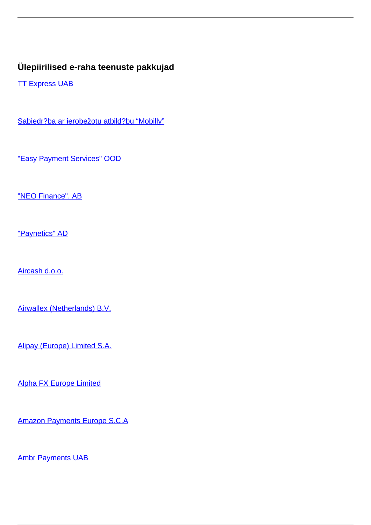## **Ülepiirilised e-raha teenuste pakkujad**

**[TT Express UAB](/et/makseteenused/makseteenused/e-raha-asutused/ulepiirilised-e-raha-teenuste-pakkujad/tt-express-uab)** 

[Sabiedr?ba ar ierobežotu atbild?bu "Mobilly"](/et/makseteenused/makseteenused/e-raha-asutused/ulepiirilised-e-raha-teenuste-pakkujad/sabiedriba-ar-ierobezotu-atbildibu-mobilly)

["Easy Payment Services" OOD](/et/makseteenused/makseteenused/e-raha-asutused/ulepiirilised-e-raha-teenuste-pakkujad/easy-payment-services-ood)

["NEO Finance", AB](/et/makseteenused/makseteenused/e-raha-asutused/ulepiirilised-e-raha-teenuste-pakkujad/neo-finance-ab)

["Paynetics" AD](/et/makseteenused/makseteenused/e-raha-asutused/ulepiirilised-e-raha-teenuste-pakkujad/paynetics-ad)

[Aircash d.o.o.](/et/makseteenused/makseteenused/e-raha-asutused/ulepiirilised-e-raha-teenuste-pakkujad/aircash-doo)

[Airwallex \(Netherlands\) B.V.](/et/makseteenused/makseteenused/e-raha-asutused/ulepiirilised-e-raha-teenuste-pakkujad/airwallex-netherlands-bv)

[Alipay \(Europe\) Limited S.A.](/et/makseteenused/makseteenused/e-raha-asutused/ulepiirilised-e-raha-teenuste-pakkujad/alipay-europe-limited-sa)

[Alpha FX Europe Limited](/et/makseteenused/makseteenused/e-raha-asutused/ulepiirilised-e-raha-teenuste-pakkujad/alpha-fx-europe-limited)

[Amazon Payments Europe S.C.A](/et/makseteenused/makseteenused/e-raha-asutused/ulepiirilised-e-raha-teenuste-pakkujad/amazon-payments-europe-sca)

**[Ambr Payments UAB](/et/makseteenused/makseteenused/e-raha-asutused/ulepiirilised-e-raha-teenuste-pakkujad/ambr-payments-uab)**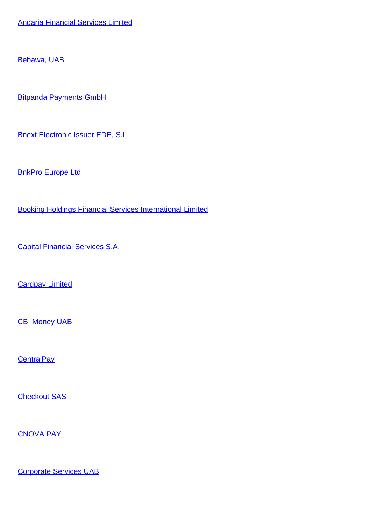[Bebawa, UAB](/et/makseteenused/makseteenused/e-raha-asutused/ulepiirilised-e-raha-teenuste-pakkujad/bebawa-uab)

[Bitpanda Payments GmbH](/et/makseteenused/makseteenused/e-raha-asutused/ulepiirilised-e-raha-teenuste-pakkujad/bitpanda-payments-gmbh)

[Bnext Electronic Issuer EDE, S.L.](/et/makseteenused/makseteenused/e-raha-asutused/ulepiirilised-e-raha-teenuste-pakkujad/bnext-electronic-issuer-ede-sl)

**[BnkPro Europe Ltd](/et/makseteenused/makseteenused/e-raha-asutused/ulepiirilised-e-raha-teenuste-pakkujad/bnkpro-europe-ltd)** 

[Booking Holdings Financial Services International Limited](/et/makseteenused/makseteenused/e-raha-asutused/ulepiirilised-e-raha-teenuste-pakkujad/booking-holdings-financial-services-international-limited)

[Capital Financial Services S.A.](/et/makseteenused/makseteenused/e-raha-asutused/ulepiirilised-e-raha-teenuste-pakkujad/capital-financial-services-sa)

**[Cardpay Limited](/et/makseteenused/makseteenused/e-raha-asutused/ulepiirilised-e-raha-teenuste-pakkujad/cardpay-limited)** 

[CBI Money UAB](/et/makseteenused/makseteenused/e-raha-asutused/ulepiirilised-e-raha-teenuste-pakkujad/cbi-money-uab)

**[CentralPay](/et/makseteenused/makseteenused/e-raha-asutused/ulepiirilised-e-raha-teenuste-pakkujad/centralpay)** 

[Checkout SAS](/et/makseteenused/makseteenused/e-raha-asutused/ulepiirilised-e-raha-teenuste-pakkujad/checkout-sas)

[CNOVA PAY](/et/makseteenused/makseteenused/e-raha-asutused/ulepiirilised-e-raha-teenuste-pakkujad/cnova-pay)

[Corporate Services UAB](/et/makseteenused/makseteenused/e-raha-asutused/ulepiirilised-e-raha-teenuste-pakkujad/corporate-services-uab)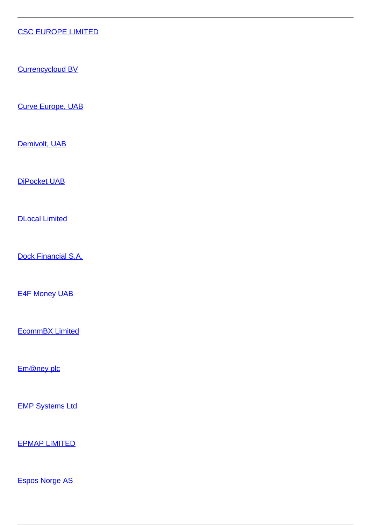## [CSC EUROPE LIMITED](/et/makseteenused/makseteenused/e-raha-asutused/ulepiirilised-e-raha-teenuste-pakkujad/csc-europe-limited)

[Currencycloud BV](/et/makseteenused/makseteenused/e-raha-asutused/ulepiirilised-e-raha-teenuste-pakkujad/currencycloud-bv)

[Curve Europe, UAB](/et/makseteenused/makseteenused/e-raha-asutused/ulepiirilised-e-raha-teenuste-pakkujad/curve-europe-uab)

[Demivolt, UAB](/et/makseteenused/makseteenused/e-raha-asutused/ulepiirilised-e-raha-teenuste-pakkujad/demivolt-uab)

[DiPocket UAB](/et/makseteenused/makseteenused/e-raha-asutused/ulepiirilised-e-raha-teenuste-pakkujad/dipocket-uab)

[DLocal Limited](/et/makseteenused/makseteenused/e-raha-asutused/ulepiirilised-e-raha-teenuste-pakkujad/dlocal-limited)

[Dock Financial S.A.](/et/makseteenused/makseteenused/e-raha-asutused/ulepiirilised-e-raha-teenuste-pakkujad/dock-financial-sa)

**[E4F Money UAB](/et/makseteenused/makseteenused/e-raha-asutused/ulepiirilised-e-raha-teenuste-pakkujad/e4f-money-uab)** 

[EcommBX Limited](/et/makseteenused/makseteenused/e-raha-asutused/ulepiirilised-e-raha-teenuste-pakkujad/ecommbx-limited)

[Em@ney plc](/et/makseteenused/makseteenused/e-raha-asutused/ulepiirilised-e-raha-teenuste-pakkujad/emney-plc)

**[EMP Systems Ltd](/et/makseteenused/makseteenused/e-raha-asutused/ulepiirilised-e-raha-teenuste-pakkujad/emp-systems-ltd)** 

[EPMAP LIMITED](/et/makseteenused/makseteenused/e-raha-asutused/ulepiirilised-e-raha-teenuste-pakkujad/epmap-limited)

[Espos Norge AS](/et/makseteenused/makseteenused/e-raha-asutused/ulepiirilised-e-raha-teenuste-pakkujad/espos-norge)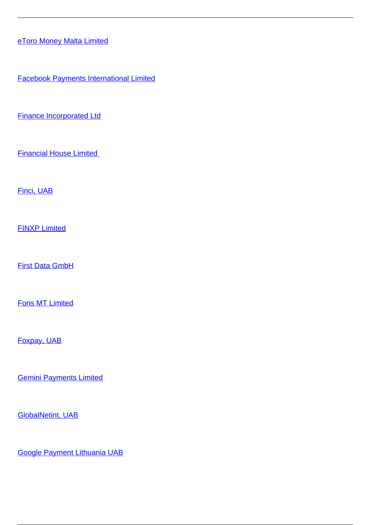[eToro Money Malta Limited](/et/makseteenused/makseteenused/e-raha-asutused/ulepiirilised-e-raha-teenuste-pakkujad/etoro-money-malta-limited)

[Facebook Payments International Limited](/et/makseteenused/makseteenused/e-raha-asutused/ulepiirilised-e-raha-teenuste-pakkujad/facebook-payments-international-limited)

[Finance Incorporated Ltd](/et/makseteenused/makseteenused/e-raha-asutused/ulepiirilised-e-raha-teenuste-pakkujad/finance-incorporated-ltd)

[Financial House Limited](/et/makseteenused/makseteenused/e-raha-asutused/ulepiirilised-e-raha-teenuste-pakkujad/financial-house-limited) 

[Finci, UAB](/et/makseteenused/makseteenused/e-raha-asutused/ulepiirilised-e-raha-teenuste-pakkujad/finci-uab)

[FINXP Limited](/et/makseteenused/makseteenused/e-raha-asutused/ulepiirilised-e-raha-teenuste-pakkujad/finxp-limited)

[First Data GmbH](/et/makseteenused/makseteenused/e-raha-asutused/ulepiirilised-e-raha-teenuste-pakkujad/first-data-gmbh)

[Foris MT Limited](/et/makseteenused/makseteenused/e-raha-asutused/ulepiirilised-e-raha-teenuste-pakkujad/foris-mt-limited)

[Foxpay, UAB](/et/makseteenused/makseteenused/e-raha-asutused/ulepiirilised-e-raha-teenuste-pakkujad/foxpay-uab)

[Gemini Payments Limited](/et/makseteenused/makseteenused/e-raha-asutused/ulepiirilised-e-raha-teenuste-pakkujad/gemini-payments-limited)

[GlobalNetint, UAB](/et/makseteenused/makseteenused/e-raha-asutused/ulepiirilised-e-raha-teenuste-pakkujad/globalnetint-uab)

[Google Payment Lithuania UAB](/et/makseteenused/makseteenused/e-raha-asutused/ulepiirilised-e-raha-teenuste-pakkujad/google-payment-lithuania-uab)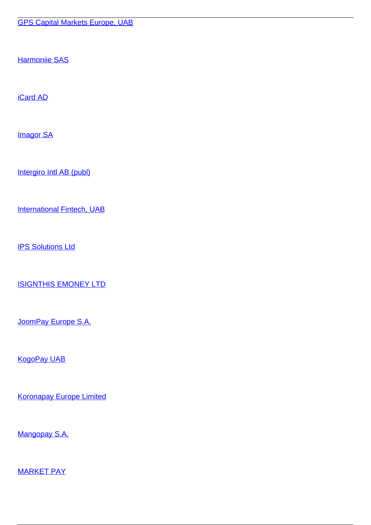[Harmoniie SAS](/et/makseteenused/makseteenused/e-raha-asutused/ulepiirilised-e-raha-teenuste-pakkujad/harmoniie-sas)

[iCard AD](/et/makseteenused/makseteenused/e-raha-asutused/ulepiirilised-e-raha-teenuste-pakkujad/icard-ad)

**[Imagor SA](/et/makseteenused/makseteenused/e-raha-asutused/ulepiirilised-e-raha-teenuste-pakkujad/imagor-sa)** 

[Intergiro Intl AB \(publ\)](/et/makseteenused/makseteenused/e-raha-asutused/ulepiirilised-e-raha-teenuste-pakkujad/intergiro-intl-ab-publ)

[International Fintech, UAB](/et/makseteenused/makseteenused/e-raha-asutused/ulepiirilised-e-raha-teenuste-pakkujad/international-fintech-uab)

**[IPS Solutions Ltd](/et/makseteenused/makseteenused/e-raha-asutused/ulepiirilised-e-raha-teenuste-pakkujad/ips-solutions-ltd)** 

[ISIGNTHIS EMONEY LTD](/et/makseteenused/makseteenused/e-raha-asutused/ulepiirilised-e-raha-teenuste-pakkujad/isignthis-emoney-ltd)

[JoomPay Europe S.A.](/et/makseteenused/makseteenused/e-raha-asutused/ulepiirilised-e-raha-teenuste-pakkujad/joompay-europe-sa)

[KogoPay UAB](/et/makseteenused/makseteenused/e-raha-asutused/ulepiirilised-e-raha-teenuste-pakkujad/kogopay-uab)

[Koronapay Europe Limited](/et/makseteenused/makseteenused/e-raha-asutused/ulepiirilised-e-raha-teenuste-pakkujad/koronapay-europe-limited)

[Mangopay S.A.](/et/makseteenused/makseteenused/e-raha-asutused/ulepiirilised-e-raha-teenuste-pakkujad/mangopay-sa)

[MARKET PAY](/et/makseteenused/makseteenused/e-raha-asutused/ulepiirilised-e-raha-teenuste-pakkujad/market-pay)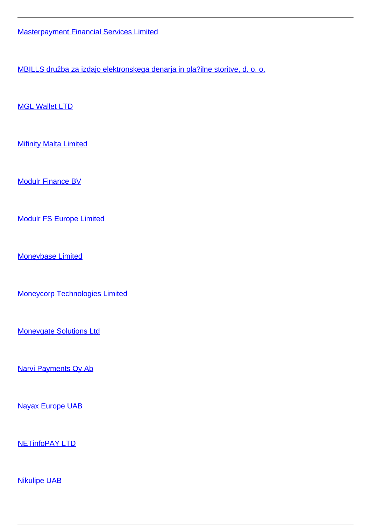[Masterpayment Financial Services Limited](/et/makseteenused/makseteenused/e-raha-asutused/ulepiirilised-e-raha-teenuste-pakkujad/masterpayment-financial-services-limited)

[MBILLS družba za izdajo elektronskega denarja in pla?ilne storitve, d. o. o.](/et/makseteenused/makseteenused/e-raha-asutused/ulepiirilised-e-raha-teenuste-pakkujad/mbills-druzba-za-izdajo-elektronskega-denarja-placilne-storitve-d-o-o)

[MGL Wallet LTD](/et/makseteenused/makseteenused/e-raha-asutused/ulepiirilised-e-raha-teenuste-pakkujad/mgl-wallet-ltd)

**[Mifinity Malta Limited](/et/makseteenused/makseteenused/e-raha-asutused/ulepiirilised-e-raha-teenuste-pakkujad/mifinity-malta-limited)** 

[Modulr Finance BV](/et/makseteenused/makseteenused/e-raha-asutused/ulepiirilised-e-raha-teenuste-pakkujad/modulr-finance-bv)

[Modulr FS Europe Limited](/et/makseteenused/makseteenused/e-raha-asutused/ulepiirilised-e-raha-teenuste-pakkujad/modulr-fs-europe-limited)

[Moneybase Limited](/et/makseteenused/makseteenused/e-raha-asutused/ulepiirilised-e-raha-teenuste-pakkujad/moneybase-limited)

[Moneycorp Technologies Limited](/et/makseteenused/makseteenused/e-raha-asutused/ulepiirilised-e-raha-teenuste-pakkujad/moneycorp-technologies-limited)

[Moneygate Solutions Ltd](/et/makseteenused/makseteenused/e-raha-asutused/ulepiirilised-e-raha-teenuste-pakkujad/moneygate-solutions-ltd)

[Narvi Payments Oy Ab](/et/makseteenused/makseteenused/e-raha-asutused/ulepiirilised-e-raha-teenuste-pakkujad/narvi-payments-oy-ab)

[Nayax Europe UAB](/et/makseteenused/makseteenused/e-raha-asutused/ulepiirilised-e-raha-teenuste-pakkujad/nayax-europe-uab)

[NETinfoPAY LTD](/et/makseteenused/makseteenused/e-raha-asutused/ulepiirilised-e-raha-teenuste-pakkujad/netinfopay-ltd)

[Nikulipe UAB](/et/makseteenused/makseteenused/e-raha-asutused/ulepiirilised-e-raha-teenuste-pakkujad/nikulipe-uab)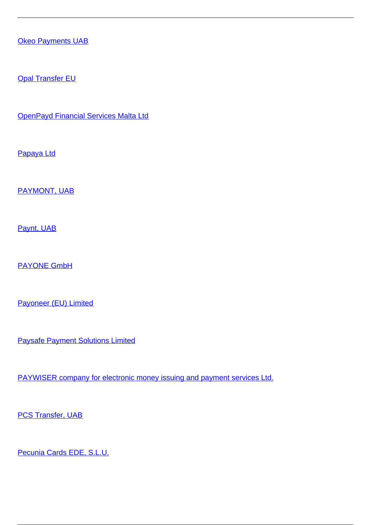**[Okeo Payments UAB](/et/makseteenused/makseteenused/e-raha-asutused/ulepiirilised-e-raha-teenuste-pakkujad/okeo-payments-uab)** 

**[Opal Transfer EU](/et/makseteenused/makseteenused/e-raha-asutused/ulepiirilised-e-raha-teenuste-pakkujad/opal-transfer-eu)** 

[OpenPayd Financial Services Malta Ltd](/et/makseteenused/makseteenused/e-raha-asutused/ulepiirilised-e-raha-teenuste-pakkujad/openpayd-financial-services-malta-ltd)

[Papaya Ltd](/et/makseteenused/makseteenused/e-raha-asutused/ulepiirilised-e-raha-teenuste-pakkujad/papaya-ltd)

[PAYMONT, UAB](/et/makseteenused/makseteenused/e-raha-asutused/ulepiirilised-e-raha-teenuste-pakkujad/paymont-uab)

[Paynt, UAB](/et/makseteenused/makseteenused/e-raha-asutused/ulepiirilised-e-raha-teenuste-pakkujad/paynt-uab)

[PAYONE GmbH](/et/makseteenused/makseteenused/e-raha-asutused/ulepiirilised-e-raha-teenuste-pakkujad/payone-gmbh)

[Payoneer \(EU\) Limited](/et/makseteenused/makseteenused/e-raha-asutused/ulepiirilised-e-raha-teenuste-pakkujad/payoneer-eu-limited)

[Paysafe Payment Solutions Limited](/et/makseteenused/makseteenused/e-raha-asutused/ulepiirilised-e-raha-teenuste-pakkujad/paysafe-payment-solutions-limited)

[PAYWISER company for electronic money issuing and payment services Ltd.](/et/makseteenused/makseteenused/e-raha-asutused/ulepiirilised-e-raha-teenuste-pakkujad/paywiser-company-electronic-money-issuing-and-payment-services-ltd)

**[PCS Transfer, UAB](/et/makseteenused/makseteenused/e-raha-asutused/ulepiirilised-e-raha-teenuste-pakkujad/pcs-transfer-uab)** 

[Pecunia Cards EDE, S.L.U.](/et/makseteenused/makseteenused/e-raha-asutused/ulepiirilised-e-raha-teenuste-pakkujad/pecunia-cards-ede-slu)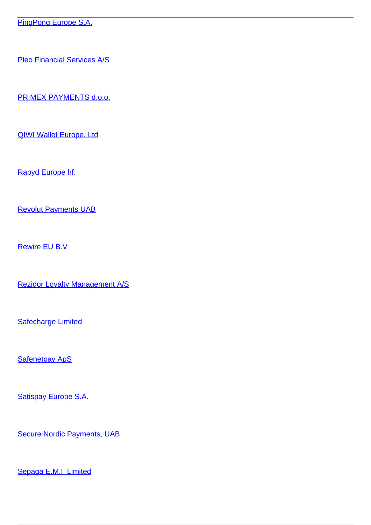[PingPong Europe S.A.](/et/makseteenused/makseteenused/e-raha-asutused/ulepiirilised-e-raha-teenuste-pakkujad/pingpong-europe-sa)

[Pleo Financial Services A/S](/et/makseteenused/makseteenused/e-raha-asutused/ulepiirilised-e-raha-teenuste-pakkujad/pleo-financial-services)

[PRIMEX PAYMENTS d.o.o.](/et/makseteenused/makseteenused/e-raha-asutused/ulepiirilised-e-raha-teenuste-pakkujad/primex-payments-doo)

[QIWI Wallet Europe, Ltd](/et/makseteenused/makseteenused/e-raha-asutused/ulepiirilised-e-raha-teenuste-pakkujad/qiwi-wallet-europe-ltd)

[Rapyd Europe hf.](/et/makseteenused/makseteenused/e-raha-asutused/ulepiirilised-e-raha-teenuste-pakkujad/rapyd-europe-hf)

[Revolut Payments UAB](/et/makseteenused/makseteenused/e-raha-asutused/ulepiirilised-e-raha-teenuste-pakkujad/revolut-payments-uab)

[Rewire EU B.V](/et/makseteenused/makseteenused/e-raha-asutused/ulepiirilised-e-raha-teenuste-pakkujad/rewire-eu-bv)

[Rezidor Loyalty Management A/S](/et/makseteenused/makseteenused/e-raha-asutused/ulepiirilised-e-raha-teenuste-pakkujad/rezidor-loyalty-management)

**[Safecharge Limited](/et/makseteenused/makseteenused/e-raha-asutused/ulepiirilised-e-raha-teenuste-pakkujad/safecharge-limited)** 

**[Safenetpay ApS](/et/makseteenused/makseteenused/e-raha-asutused/ulepiirilised-e-raha-teenuste-pakkujad/safenetpay-aps)** 

[Satispay Europe S.A.](/et/makseteenused/makseteenused/e-raha-asutused/ulepiirilised-e-raha-teenuste-pakkujad/satispay-europe-sa)

[Secure Nordic Payments, UAB](/et/makseteenused/makseteenused/e-raha-asutused/ulepiirilised-e-raha-teenuste-pakkujad/secure-nordic-payments-uab)

[Sepaga E.M.I. Limited](/et/makseteenused/makseteenused/e-raha-asutused/ulepiirilised-e-raha-teenuste-pakkujad/sepaga-emi-limited)